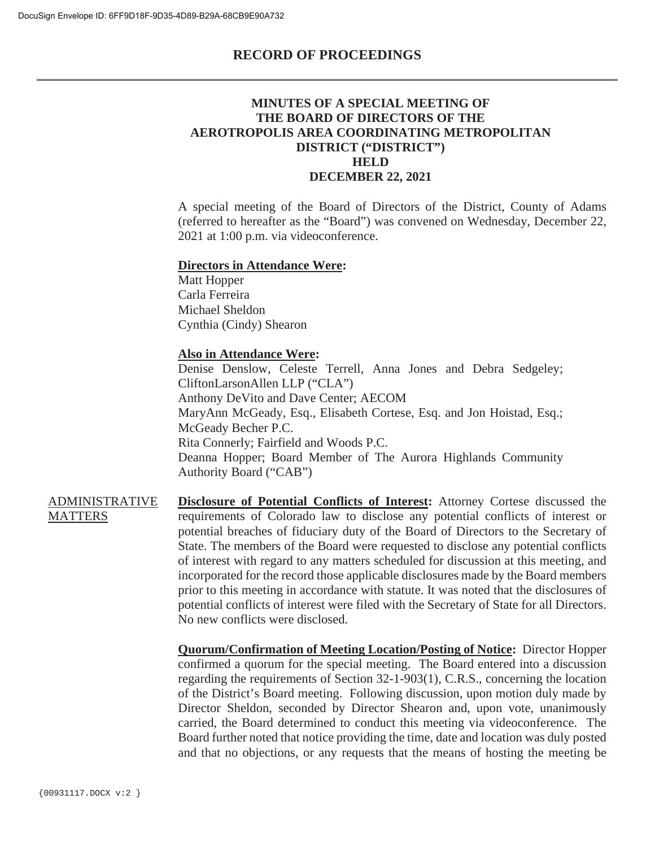### **RECORD OF PROCEEDINGS**

## **MINUTES OF A SPECIAL MEETING OF THE BOARD OF DIRECTORS OF THE AEROTROPOLIS AREA COORDINATING METROPOLITAN DISTRICT ("DISTRICT") HELD DECEMBER 22, 2021**

A special meeting of the Board of Directors of the District, County of Adams (referred to hereafter as the "Board") was convened on Wednesday, December 22, 2021 at 1:00 p.m. via videoconference.

#### **Directors in Attendance Were:**

Matt Hopper Carla Ferreira Michael Sheldon Cynthia (Cindy) Shearon

#### **Also in Attendance Were:**

Denise Denslow, Celeste Terrell, Anna Jones and Debra Sedgeley; CliftonLarsonAllen LLP ("CLA") Anthony DeVito and Dave Center; AECOM MaryAnn McGeady, Esq., Elisabeth Cortese, Esq. and Jon Hoistad, Esq.; McGeady Becher P.C. Rita Connerly; Fairfield and Woods P.C. Deanna Hopper; Board Member of The Aurora Highlands Community Authority Board ("CAB")

ADMINISTRATIVE **MATTERS Disclosure of Potential Conflicts of Interest:** Attorney Cortese discussed the requirements of Colorado law to disclose any potential conflicts of interest or potential breaches of fiduciary duty of the Board of Directors to the Secretary of State. The members of the Board were requested to disclose any potential conflicts of interest with regard to any matters scheduled for discussion at this meeting, and incorporated for the record those applicable disclosures made by the Board members prior to this meeting in accordance with statute. It was noted that the disclosures of potential conflicts of interest were filed with the Secretary of State for all Directors. No new conflicts were disclosed.

> **Quorum/Confirmation of Meeting Location/Posting of Notice:** Director Hopper confirmed a quorum for the special meeting. The Board entered into a discussion regarding the requirements of Section 32-1-903(1), C.R.S., concerning the location of the District's Board meeting. Following discussion, upon motion duly made by Director Sheldon, seconded by Director Shearon and, upon vote, unanimously carried, the Board determined to conduct this meeting via videoconference. The Board further noted that notice providing the time, date and location was duly posted and that no objections, or any requests that the means of hosting the meeting be